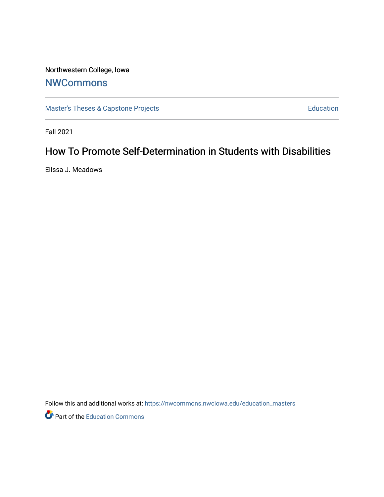# Northwestern College, Iowa

# **[NWCommons](https://nwcommons.nwciowa.edu/)**

[Master's Theses & Capstone Projects](https://nwcommons.nwciowa.edu/education_masters) **Education** Education

Fall 2021

# How To Promote Self-Determination in Students with Disabilities

Elissa J. Meadows

Follow this and additional works at: [https://nwcommons.nwciowa.edu/education\\_masters](https://nwcommons.nwciowa.edu/education_masters?utm_source=nwcommons.nwciowa.edu%2Feducation_masters%2F352&utm_medium=PDF&utm_campaign=PDFCoverPages)

Part of the [Education Commons](http://network.bepress.com/hgg/discipline/784?utm_source=nwcommons.nwciowa.edu%2Feducation_masters%2F352&utm_medium=PDF&utm_campaign=PDFCoverPages)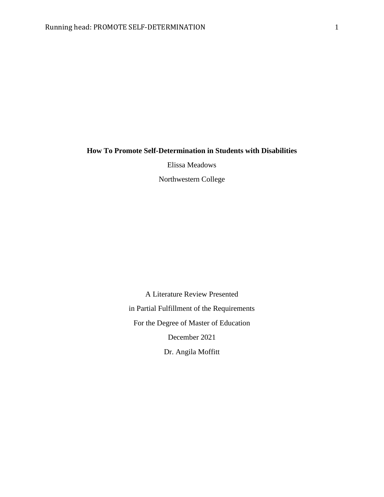### **How To Promote Self-Determination in Students with Disabilities**

Elissa Meadows

Northwestern College

A Literature Review Presented in Partial Fulfillment of the Requirements For the Degree of Master of Education December 2021 Dr. Angila Moffitt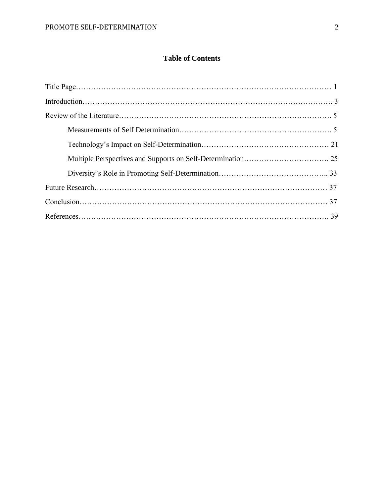# **Table of Contents**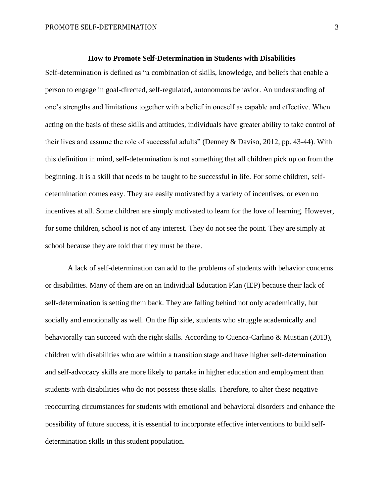#### **How to Promote Self-Determination in Students with Disabilities**

Self-determination is defined as "a combination of skills, knowledge, and beliefs that enable a person to engage in goal-directed, self-regulated, autonomous behavior. An understanding of one's strengths and limitations together with a belief in oneself as capable and effective. When acting on the basis of these skills and attitudes, individuals have greater ability to take control of their lives and assume the role of successful adults" (Denney & Daviso, 2012, pp. 43-44). With this definition in mind, self-determination is not something that all children pick up on from the beginning. It is a skill that needs to be taught to be successful in life. For some children, selfdetermination comes easy. They are easily motivated by a variety of incentives, or even no incentives at all. Some children are simply motivated to learn for the love of learning. However, for some children, school is not of any interest. They do not see the point. They are simply at school because they are told that they must be there.

A lack of self-determination can add to the problems of students with behavior concerns or disabilities. Many of them are on an Individual Education Plan (IEP) because their lack of self-determination is setting them back. They are falling behind not only academically, but socially and emotionally as well. On the flip side, students who struggle academically and behaviorally can succeed with the right skills. According to Cuenca-Carlino & Mustian (2013), children with disabilities who are within a transition stage and have higher self-determination and self-advocacy skills are more likely to partake in higher education and employment than students with disabilities who do not possess these skills. Therefore, to alter these negative reoccurring circumstances for students with emotional and behavioral disorders and enhance the possibility of future success, it is essential to incorporate effective interventions to build selfdetermination skills in this student population.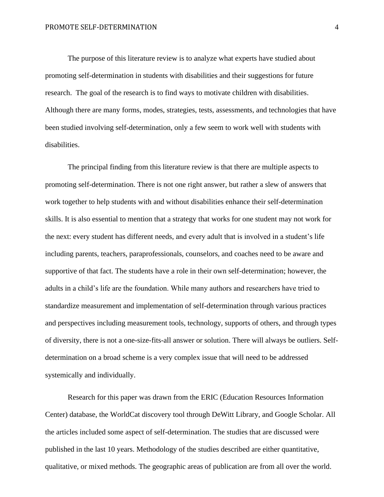The purpose of this literature review is to analyze what experts have studied about promoting self-determination in students with disabilities and their suggestions for future research. The goal of the research is to find ways to motivate children with disabilities. Although there are many forms, modes, strategies, tests, assessments, and technologies that have been studied involving self-determination, only a few seem to work well with students with disabilities.

The principal finding from this literature review is that there are multiple aspects to promoting self-determination. There is not one right answer, but rather a slew of answers that work together to help students with and without disabilities enhance their self-determination skills. It is also essential to mention that a strategy that works for one student may not work for the next: every student has different needs, and every adult that is involved in a student's life including parents, teachers, paraprofessionals, counselors, and coaches need to be aware and supportive of that fact. The students have a role in their own self-determination; however, the adults in a child's life are the foundation. While many authors and researchers have tried to standardize measurement and implementation of self-determination through various practices and perspectives including measurement tools, technology, supports of others, and through types of diversity, there is not a one-size-fits-all answer or solution. There will always be outliers. Selfdetermination on a broad scheme is a very complex issue that will need to be addressed systemically and individually.

Research for this paper was drawn from the ERIC (Education Resources Information Center) database, the WorldCat discovery tool through DeWitt Library, and Google Scholar. All the articles included some aspect of self-determination. The studies that are discussed were published in the last 10 years. Methodology of the studies described are either quantitative, qualitative, or mixed methods. The geographic areas of publication are from all over the world.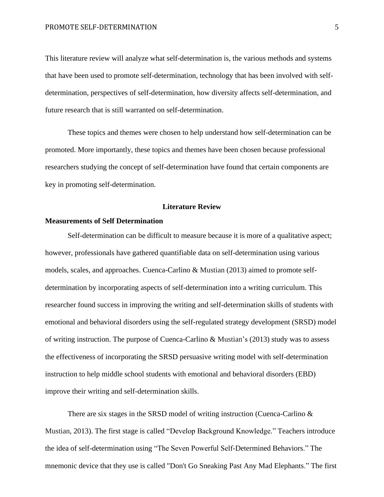This literature review will analyze what self-determination is, the various methods and systems that have been used to promote self-determination, technology that has been involved with selfdetermination, perspectives of self-determination, how diversity affects self-determination, and future research that is still warranted on self-determination.

These topics and themes were chosen to help understand how self-determination can be promoted. More importantly, these topics and themes have been chosen because professional researchers studying the concept of self-determination have found that certain components are key in promoting self-determination.

### **Literature Review**

### **Measurements of Self Determination**

Self-determination can be difficult to measure because it is more of a qualitative aspect; however, professionals have gathered quantifiable data on self-determination using various models, scales, and approaches. Cuenca-Carlino & Mustian (2013) aimed to promote selfdetermination by incorporating aspects of self-determination into a writing curriculum. This researcher found success in improving the writing and self-determination skills of students with emotional and behavioral disorders using the self-regulated strategy development (SRSD) model of writing instruction. The purpose of Cuenca-Carlino & Mustian's (2013) study was to assess the effectiveness of incorporating the SRSD persuasive writing model with self-determination instruction to help middle school students with emotional and behavioral disorders (EBD) improve their writing and self-determination skills.

There are six stages in the SRSD model of writing instruction (Cuenca-Carlino & Mustian, 2013). The first stage is called "Develop Background Knowledge." Teachers introduce the idea of self-determination using "The Seven Powerful Self-Determined Behaviors." The mnemonic device that they use is called "Don't Go Sneaking Past Any Mad Elephants." The first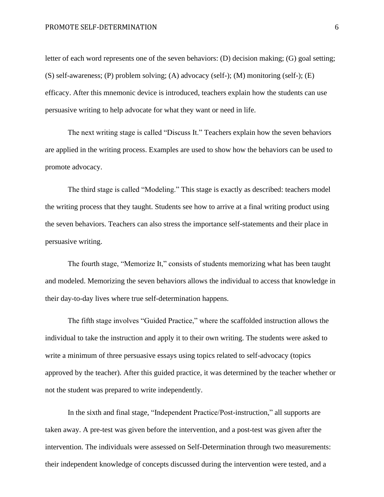letter of each word represents one of the seven behaviors: (D) decision making; (G) goal setting; (S) self-awareness; (P) problem solving; (A) advocacy (self-); (M) monitoring (self-); (E) efficacy. After this mnemonic device is introduced, teachers explain how the students can use persuasive writing to help advocate for what they want or need in life.

The next writing stage is called "Discuss It." Teachers explain how the seven behaviors are applied in the writing process. Examples are used to show how the behaviors can be used to promote advocacy.

The third stage is called "Modeling." This stage is exactly as described: teachers model the writing process that they taught. Students see how to arrive at a final writing product using the seven behaviors. Teachers can also stress the importance self-statements and their place in persuasive writing.

The fourth stage, "Memorize It," consists of students memorizing what has been taught and modeled. Memorizing the seven behaviors allows the individual to access that knowledge in their day-to-day lives where true self-determination happens.

The fifth stage involves "Guided Practice," where the scaffolded instruction allows the individual to take the instruction and apply it to their own writing. The students were asked to write a minimum of three persuasive essays using topics related to self-advocacy (topics approved by the teacher). After this guided practice, it was determined by the teacher whether or not the student was prepared to write independently.

In the sixth and final stage, "Independent Practice/Post-instruction," all supports are taken away. A pre-test was given before the intervention, and a post-test was given after the intervention. The individuals were assessed on Self-Determination through two measurements: their independent knowledge of concepts discussed during the intervention were tested, and a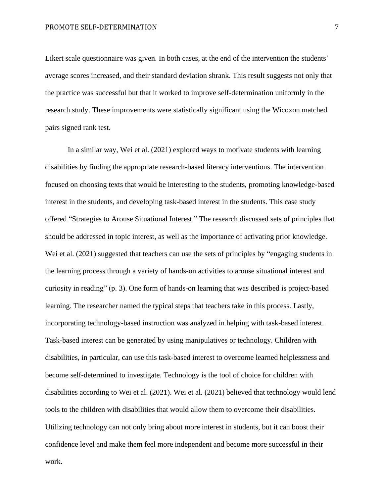Likert scale questionnaire was given. In both cases, at the end of the intervention the students' average scores increased, and their standard deviation shrank. This result suggests not only that the practice was successful but that it worked to improve self-determination uniformly in the research study. These improvements were statistically significant using the Wicoxon matched pairs signed rank test.

In a similar way, Wei et al. (2021) explored ways to motivate students with learning disabilities by finding the appropriate research-based literacy interventions. The intervention focused on choosing texts that would be interesting to the students, promoting knowledge-based interest in the students, and developing task-based interest in the students. This case study offered "Strategies to Arouse Situational Interest." The research discussed sets of principles that should be addressed in topic interest, as well as the importance of activating prior knowledge. Wei et al. (2021) suggested that teachers can use the sets of principles by "engaging students in the learning process through a variety of hands-on activities to arouse situational interest and curiosity in reading" (p. 3). One form of hands-on learning that was described is project-based learning. The researcher named the typical steps that teachers take in this process. Lastly, incorporating technology-based instruction was analyzed in helping with task-based interest. Task-based interest can be generated by using manipulatives or technology. Children with disabilities, in particular, can use this task-based interest to overcome learned helplessness and become self-determined to investigate. Technology is the tool of choice for children with disabilities according to Wei et al. (2021). Wei et al. (2021) believed that technology would lend tools to the children with disabilities that would allow them to overcome their disabilities. Utilizing technology can not only bring about more interest in students, but it can boost their confidence level and make them feel more independent and become more successful in their work.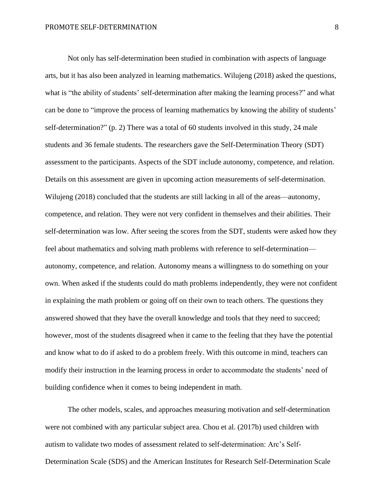Not only has self-determination been studied in combination with aspects of language arts, but it has also been analyzed in learning mathematics. Wilujeng (2018) asked the questions, what is "the ability of students' self-determination after making the learning process?" and what can be done to "improve the process of learning mathematics by knowing the ability of students' self-determination?" (p. 2) There was a total of 60 students involved in this study, 24 male students and 36 female students. The researchers gave the Self-Determination Theory (SDT) assessment to the participants. Aspects of the SDT include autonomy, competence, and relation. Details on this assessment are given in upcoming action measurements of self-determination. Wilujeng (2018) concluded that the students are still lacking in all of the areas—autonomy, competence, and relation. They were not very confident in themselves and their abilities. Their self-determination was low. After seeing the scores from the SDT, students were asked how they feel about mathematics and solving math problems with reference to self-determination autonomy, competence, and relation. Autonomy means a willingness to do something on your own. When asked if the students could do math problems independently, they were not confident in explaining the math problem or going off on their own to teach others. The questions they answered showed that they have the overall knowledge and tools that they need to succeed; however, most of the students disagreed when it came to the feeling that they have the potential and know what to do if asked to do a problem freely. With this outcome in mind, teachers can modify their instruction in the learning process in order to accommodate the students' need of building confidence when it comes to being independent in math.

The other models, scales, and approaches measuring motivation and self-determination were not combined with any particular subject area. Chou et al. (2017b) used children with autism to validate two modes of assessment related to self-determination: Arc's Self-Determination Scale (SDS) and the American Institutes for Research Self-Determination Scale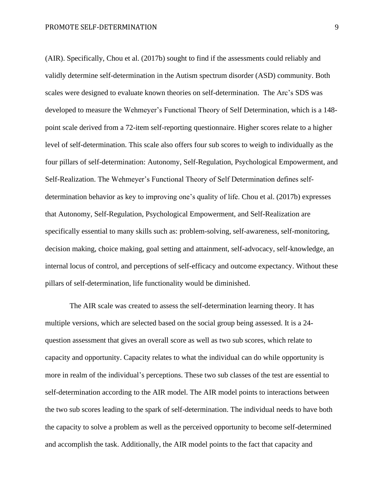(AIR). Specifically, Chou et al. (2017b) sought to find if the assessments could reliably and validly determine self-determination in the Autism spectrum disorder (ASD) community. Both scales were designed to evaluate known theories on self-determination. The Arc's SDS was developed to measure the Wehmeyer's Functional Theory of Self Determination, which is a 148 point scale derived from a 72-item self-reporting questionnaire. Higher scores relate to a higher level of self-determination. This scale also offers four sub scores to weigh to individually as the four pillars of self-determination: Autonomy, Self-Regulation, Psychological Empowerment, and Self-Realization. The Wehmeyer's Functional Theory of Self Determination defines selfdetermination behavior as key to improving one's quality of life. Chou et al. (2017b) expresses that Autonomy, Self-Regulation, Psychological Empowerment, and Self-Realization are specifically essential to many skills such as: problem-solving, self-awareness, self-monitoring, decision making, choice making, goal setting and attainment, self-advocacy, self-knowledge, an internal locus of control, and perceptions of self-efficacy and outcome expectancy. Without these pillars of self-determination, life functionality would be diminished.

The AIR scale was created to assess the self-determination learning theory. It has multiple versions, which are selected based on the social group being assessed. It is a 24 question assessment that gives an overall score as well as two sub scores, which relate to capacity and opportunity. Capacity relates to what the individual can do while opportunity is more in realm of the individual's perceptions. These two sub classes of the test are essential to self-determination according to the AIR model. The AIR model points to interactions between the two sub scores leading to the spark of self-determination. The individual needs to have both the capacity to solve a problem as well as the perceived opportunity to become self-determined and accomplish the task. Additionally, the AIR model points to the fact that capacity and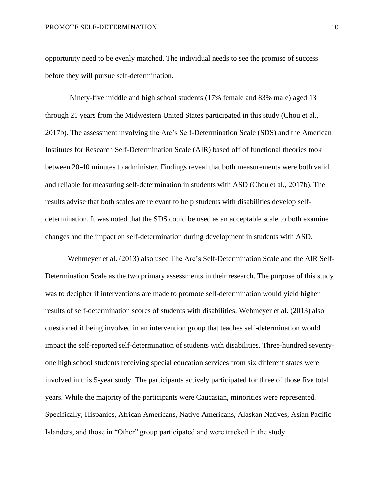opportunity need to be evenly matched. The individual needs to see the promise of success before they will pursue self-determination.

Ninety-five middle and high school students (17% female and 83% male) aged 13 through 21 years from the Midwestern United States participated in this study (Chou et al., 2017b). The assessment involving the Arc's Self-Determination Scale (SDS) and the American Institutes for Research Self-Determination Scale (AIR) based off of functional theories took between 20-40 minutes to administer. Findings reveal that both measurements were both valid and reliable for measuring self-determination in students with ASD (Chou et al., 2017b). The results advise that both scales are relevant to help students with disabilities develop selfdetermination. It was noted that the SDS could be used as an acceptable scale to both examine changes and the impact on self-determination during development in students with ASD.

Wehmeyer et al. (2013) also used The Arc's Self-Determination Scale and the AIR Self-Determination Scale as the two primary assessments in their research. The purpose of this study was to decipher if interventions are made to promote self-determination would yield higher results of self-determination scores of students with disabilities. Wehmeyer et al. (2013) also questioned if being involved in an intervention group that teaches self-determination would impact the self-reported self-determination of students with disabilities. Three-hundred seventyone high school students receiving special education services from six different states were involved in this 5-year study. The participants actively participated for three of those five total years. While the majority of the participants were Caucasian, minorities were represented. Specifically, Hispanics, African Americans, Native Americans, Alaskan Natives, Asian Pacific Islanders, and those in "Other" group participated and were tracked in the study.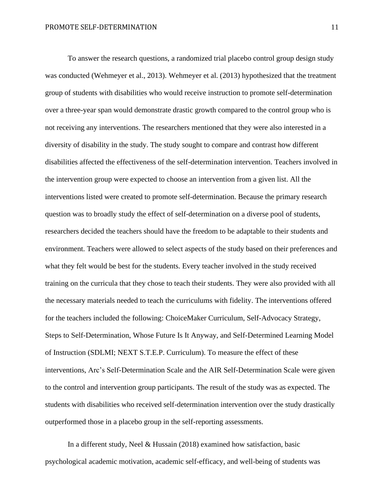To answer the research questions, a randomized trial placebo control group design study was conducted (Wehmeyer et al., 2013). Wehmeyer et al. (2013) hypothesized that the treatment group of students with disabilities who would receive instruction to promote self-determination over a three-year span would demonstrate drastic growth compared to the control group who is not receiving any interventions. The researchers mentioned that they were also interested in a diversity of disability in the study. The study sought to compare and contrast how different disabilities affected the effectiveness of the self-determination intervention. Teachers involved in the intervention group were expected to choose an intervention from a given list. All the interventions listed were created to promote self-determination. Because the primary research question was to broadly study the effect of self-determination on a diverse pool of students, researchers decided the teachers should have the freedom to be adaptable to their students and environment. Teachers were allowed to select aspects of the study based on their preferences and what they felt would be best for the students. Every teacher involved in the study received training on the curricula that they chose to teach their students. They were also provided with all the necessary materials needed to teach the curriculums with fidelity. The interventions offered for the teachers included the following: ChoiceMaker Curriculum, Self-Advocacy Strategy, Steps to Self-Determination, Whose Future Is It Anyway, and Self-Determined Learning Model of Instruction (SDLMI; NEXT S.T.E.P. Curriculum). To measure the effect of these interventions, Arc's Self-Determination Scale and the AIR Self-Determination Scale were given to the control and intervention group participants. The result of the study was as expected. The students with disabilities who received self-determination intervention over the study drastically outperformed those in a placebo group in the self-reporting assessments.

In a different study, Neel & Hussain (2018) examined how satisfaction, basic psychological academic motivation, academic self-efficacy, and well-being of students was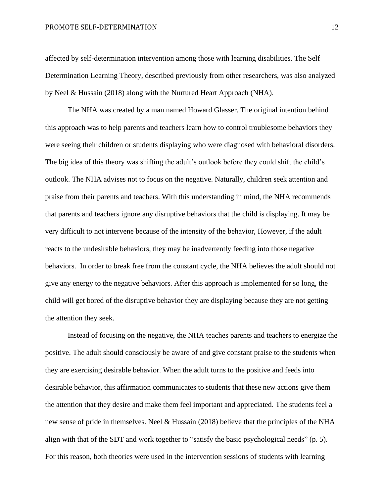#### PROMOTE SELF-DETERMINATION 12

affected by self-determination intervention among those with learning disabilities. The Self Determination Learning Theory, described previously from other researchers, was also analyzed by Neel & Hussain (2018) along with the Nurtured Heart Approach (NHA).

The NHA was created by a man named Howard Glasser. The original intention behind this approach was to help parents and teachers learn how to control troublesome behaviors they were seeing their children or students displaying who were diagnosed with behavioral disorders. The big idea of this theory was shifting the adult's outlook before they could shift the child's outlook. The NHA advises not to focus on the negative. Naturally, children seek attention and praise from their parents and teachers. With this understanding in mind, the NHA recommends that parents and teachers ignore any disruptive behaviors that the child is displaying. It may be very difficult to not intervene because of the intensity of the behavior, However, if the adult reacts to the undesirable behaviors, they may be inadvertently feeding into those negative behaviors. In order to break free from the constant cycle, the NHA believes the adult should not give any energy to the negative behaviors. After this approach is implemented for so long, the child will get bored of the disruptive behavior they are displaying because they are not getting the attention they seek.

Instead of focusing on the negative, the NHA teaches parents and teachers to energize the positive. The adult should consciously be aware of and give constant praise to the students when they are exercising desirable behavior. When the adult turns to the positive and feeds into desirable behavior, this affirmation communicates to students that these new actions give them the attention that they desire and make them feel important and appreciated. The students feel a new sense of pride in themselves. Neel & Hussain (2018) believe that the principles of the NHA align with that of the SDT and work together to "satisfy the basic psychological needs" (p. 5). For this reason, both theories were used in the intervention sessions of students with learning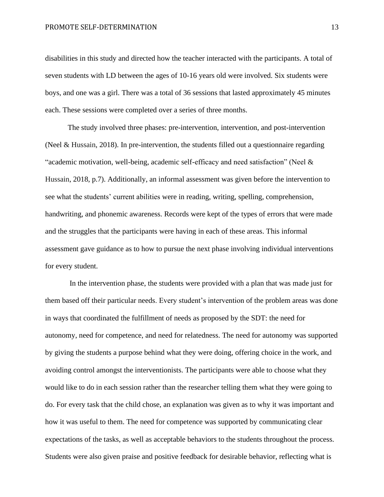#### PROMOTE SELF-DETERMINATION 13

disabilities in this study and directed how the teacher interacted with the participants. A total of seven students with LD between the ages of 10-16 years old were involved. Six students were boys, and one was a girl. There was a total of 36 sessions that lasted approximately 45 minutes each. These sessions were completed over a series of three months.

The study involved three phases: pre-intervention, intervention, and post-intervention (Neel & Hussain, 2018). In pre-intervention, the students filled out a questionnaire regarding "academic motivation, well-being, academic self-efficacy and need satisfaction" (Neel  $\&$ Hussain, 2018, p.7). Additionally, an informal assessment was given before the intervention to see what the students' current abilities were in reading, writing, spelling, comprehension, handwriting, and phonemic awareness. Records were kept of the types of errors that were made and the struggles that the participants were having in each of these areas. This informal assessment gave guidance as to how to pursue the next phase involving individual interventions for every student.

In the intervention phase, the students were provided with a plan that was made just for them based off their particular needs. Every student's intervention of the problem areas was done in ways that coordinated the fulfillment of needs as proposed by the SDT: the need for autonomy, need for competence, and need for relatedness. The need for autonomy was supported by giving the students a purpose behind what they were doing, offering choice in the work, and avoiding control amongst the interventionists. The participants were able to choose what they would like to do in each session rather than the researcher telling them what they were going to do. For every task that the child chose, an explanation was given as to why it was important and how it was useful to them. The need for competence was supported by communicating clear expectations of the tasks, as well as acceptable behaviors to the students throughout the process. Students were also given praise and positive feedback for desirable behavior, reflecting what is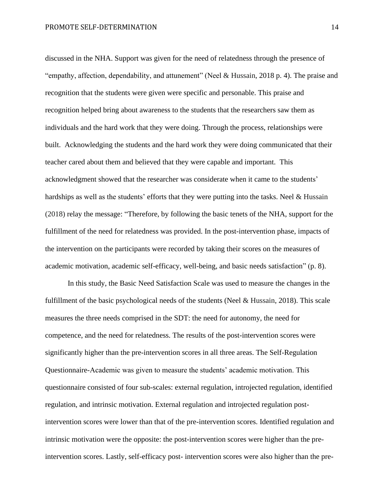discussed in the NHA. Support was given for the need of relatedness through the presence of "empathy, affection, dependability, and attunement" (Neel & Hussain, 2018 p. 4). The praise and recognition that the students were given were specific and personable. This praise and recognition helped bring about awareness to the students that the researchers saw them as individuals and the hard work that they were doing. Through the process, relationships were built. Acknowledging the students and the hard work they were doing communicated that their teacher cared about them and believed that they were capable and important. This acknowledgment showed that the researcher was considerate when it came to the students' hardships as well as the students' efforts that they were putting into the tasks. Neel & Hussain (2018) relay the message: "Therefore, by following the basic tenets of the NHA, support for the fulfillment of the need for relatedness was provided. In the post-intervention phase, impacts of the intervention on the participants were recorded by taking their scores on the measures of academic motivation, academic self-efficacy, well-being, and basic needs satisfaction" (p. 8).

In this study, the Basic Need Satisfaction Scale was used to measure the changes in the fulfillment of the basic psychological needs of the students (Neel & Hussain, 2018). This scale measures the three needs comprised in the SDT: the need for autonomy, the need for competence, and the need for relatedness. The results of the post-intervention scores were significantly higher than the pre-intervention scores in all three areas. The Self-Regulation Questionnaire-Academic was given to measure the students' academic motivation. This questionnaire consisted of four sub-scales: external regulation, introjected regulation, identified regulation, and intrinsic motivation. External regulation and introjected regulation postintervention scores were lower than that of the pre-intervention scores. Identified regulation and intrinsic motivation were the opposite: the post-intervention scores were higher than the preintervention scores. Lastly, self-efficacy post- intervention scores were also higher than the pre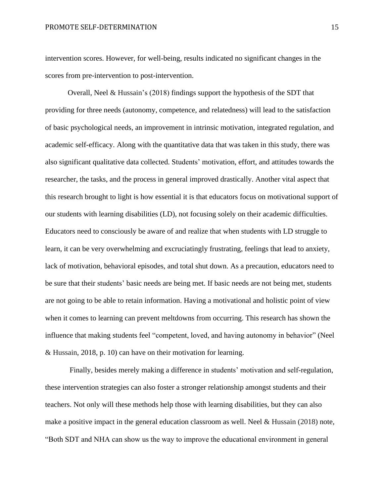intervention scores. However, for well-being, results indicated no significant changes in the scores from pre-intervention to post-intervention.

Overall, Neel & Hussain's (2018) findings support the hypothesis of the SDT that providing for three needs (autonomy, competence, and relatedness) will lead to the satisfaction of basic psychological needs, an improvement in intrinsic motivation, integrated regulation, and academic self-efficacy. Along with the quantitative data that was taken in this study, there was also significant qualitative data collected. Students' motivation, effort, and attitudes towards the researcher, the tasks, and the process in general improved drastically. Another vital aspect that this research brought to light is how essential it is that educators focus on motivational support of our students with learning disabilities (LD), not focusing solely on their academic difficulties. Educators need to consciously be aware of and realize that when students with LD struggle to learn, it can be very overwhelming and excruciatingly frustrating, feelings that lead to anxiety, lack of motivation, behavioral episodes, and total shut down. As a precaution, educators need to be sure that their students' basic needs are being met. If basic needs are not being met, students are not going to be able to retain information. Having a motivational and holistic point of view when it comes to learning can prevent meltdowns from occurring. This research has shown the influence that making students feel "competent, loved, and having autonomy in behavior" (Neel & Hussain, 2018, p. 10) can have on their motivation for learning.

Finally, besides merely making a difference in students' motivation and self-regulation, these intervention strategies can also foster a stronger relationship amongst students and their teachers. Not only will these methods help those with learning disabilities, but they can also make a positive impact in the general education classroom as well. Neel  $&$  Hussain (2018) note, "Both SDT and NHA can show us the way to improve the educational environment in general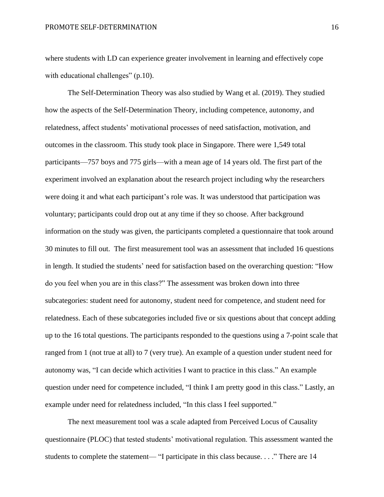where students with LD can experience greater involvement in learning and effectively cope with educational challenges" (p.10).

The Self-Determination Theory was also studied by Wang et al. (2019). They studied how the aspects of the Self-Determination Theory, including competence, autonomy, and relatedness, affect students' motivational processes of need satisfaction, motivation, and outcomes in the classroom. This study took place in Singapore. There were 1,549 total participants—757 boys and 775 girls—with a mean age of 14 years old. The first part of the experiment involved an explanation about the research project including why the researchers were doing it and what each participant's role was. It was understood that participation was voluntary; participants could drop out at any time if they so choose. After background information on the study was given, the participants completed a questionnaire that took around 30 minutes to fill out. The first measurement tool was an assessment that included 16 questions in length. It studied the students' need for satisfaction based on the overarching question: "How do you feel when you are in this class?" The assessment was broken down into three subcategories: student need for autonomy, student need for competence, and student need for relatedness. Each of these subcategories included five or six questions about that concept adding up to the 16 total questions. The participants responded to the questions using a 7-point scale that ranged from 1 (not true at all) to 7 (very true). An example of a question under student need for autonomy was, "I can decide which activities I want to practice in this class." An example question under need for competence included, "I think I am pretty good in this class." Lastly, an example under need for relatedness included, "In this class I feel supported."

The next measurement tool was a scale adapted from Perceived Locus of Causality questionnaire (PLOC) that tested students' motivational regulation. This assessment wanted the students to complete the statement— "I participate in this class because. . . ." There are 14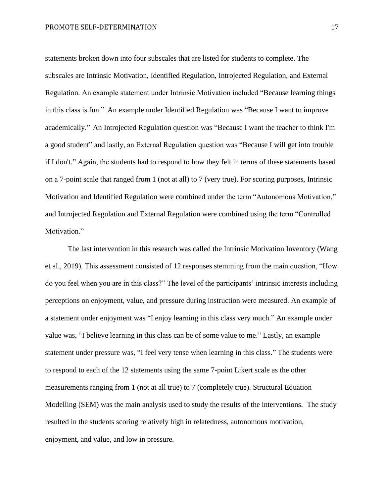statements broken down into four subscales that are listed for students to complete. The subscales are Intrinsic Motivation, Identified Regulation, Introjected Regulation, and External Regulation. An example statement under Intrinsic Motivation included "Because learning things in this class is fun." An example under Identified Regulation was "Because I want to improve academically." An Introjected Regulation question was "Because I want the teacher to think I'm a good student" and lastly, an External Regulation question was "Because I will get into trouble if I don't." Again, the students had to respond to how they felt in terms of these statements based on a 7-point scale that ranged from 1 (not at all) to 7 (very true). For scoring purposes, Intrinsic Motivation and Identified Regulation were combined under the term "Autonomous Motivation," and Introjected Regulation and External Regulation were combined using the term "Controlled Motivation."

The last intervention in this research was called the Intrinsic Motivation Inventory (Wang et al., 2019). This assessment consisted of 12 responses stemming from the main question, "How do you feel when you are in this class?" The level of the participants' intrinsic interests including perceptions on enjoyment, value, and pressure during instruction were measured. An example of a statement under enjoyment was "I enjoy learning in this class very much." An example under value was, "I believe learning in this class can be of some value to me." Lastly, an example statement under pressure was, "I feel very tense when learning in this class." The students were to respond to each of the 12 statements using the same 7-point Likert scale as the other measurements ranging from 1 (not at all true) to 7 (completely true). Structural Equation Modelling (SEM) was the main analysis used to study the results of the interventions. The study resulted in the students scoring relatively high in relatedness, autonomous motivation, enjoyment, and value, and low in pressure.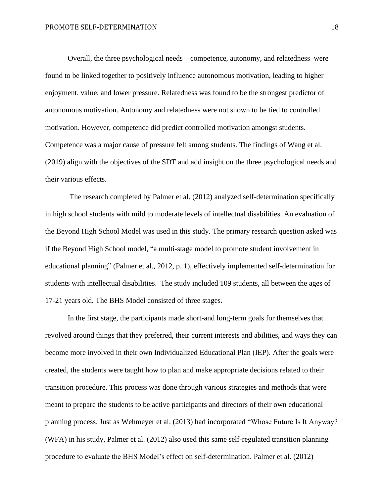Overall, the three psychological needs—competence, autonomy, and relatedness–were found to be linked together to positively influence autonomous motivation, leading to higher enjoyment, value, and lower pressure. Relatedness was found to be the strongest predictor of autonomous motivation. Autonomy and relatedness were not shown to be tied to controlled motivation. However, competence did predict controlled motivation amongst students. Competence was a major cause of pressure felt among students. The findings of Wang et al. (2019) align with the objectives of the SDT and add insight on the three psychological needs and their various effects.

The research completed by Palmer et al. (2012) analyzed self-determination specifically in high school students with mild to moderate levels of intellectual disabilities. An evaluation of the Beyond High School Model was used in this study. The primary research question asked was if the Beyond High School model, "a multi-stage model to promote student involvement in educational planning" (Palmer et al., 2012, p. 1), effectively implemented self-determination for students with intellectual disabilities. The study included 109 students, all between the ages of 17-21 years old. The BHS Model consisted of three stages.

In the first stage, the participants made short-and long-term goals for themselves that revolved around things that they preferred, their current interests and abilities, and ways they can become more involved in their own Individualized Educational Plan (IEP). After the goals were created, the students were taught how to plan and make appropriate decisions related to their transition procedure. This process was done through various strategies and methods that were meant to prepare the students to be active participants and directors of their own educational planning process. Just as Wehmeyer et al. (2013) had incorporated "Whose Future Is It Anyway? (WFA) in his study, Palmer et al. (2012) also used this same self-regulated transition planning procedure to evaluate the BHS Model's effect on self-determination. Palmer et al. (2012)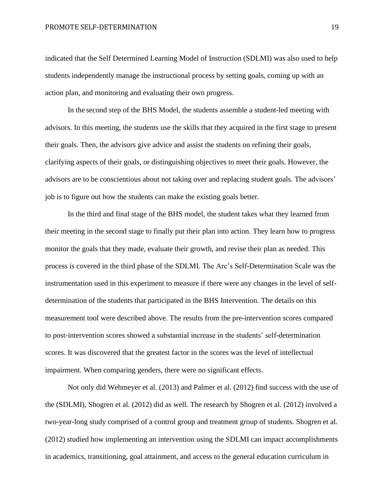#### PROMOTE SELF-DETERMINATION 19

indicated that the Self Determined Learning Model of Instruction (SDLMI) was also used to help students independently manage the instructional process by setting goals, coming up with an action plan, and monitoring and evaluating their own progress.

In the second step of the BHS Model, the students assemble a student-led meeting with advisors. In this meeting, the students use the skills that they acquired in the first stage to present their goals. Then, the advisors give advice and assist the students on refining their goals, clarifying aspects of their goals, or distinguishing objectives to meet their goals. However, the advisors are to be conscientious about not taking over and replacing student goals. The advisors' job is to figure out how the students can make the existing goals better.

In the third and final stage of the BHS model, the student takes what they learned from their meeting in the second stage to finally put their plan into action. They learn how to progress monitor the goals that they made, evaluate their growth, and revise their plan as needed. This process is covered in the third phase of the SDLMI. The Arc's Self-Determination Scale was the instrumentation used in this experiment to measure if there were any changes in the level of selfdetermination of the students that participated in the BHS Intervention. The details on this measurement tool were described above. The results from the pre-intervention scores compared to post-intervention scores showed a substantial increase in the students' self-determination scores. It was discovered that the greatest factor in the scores was the level of intellectual impairment. When comparing genders, there were no significant effects.

Not only did Wehmeyer et al. (2013) and Palmer et al. (2012) find success with the use of the (SDLMI), Shogren et al. (2012) did as well. The research by Shogren et al. (2012) involved a two-year-long study comprised of a control group and treatment group of students. Shogren et al. (2012) studied how implementing an intervention using the SDLMI can impact accomplishments in academics, transitioning, goal attainment, and access to the general education curriculum in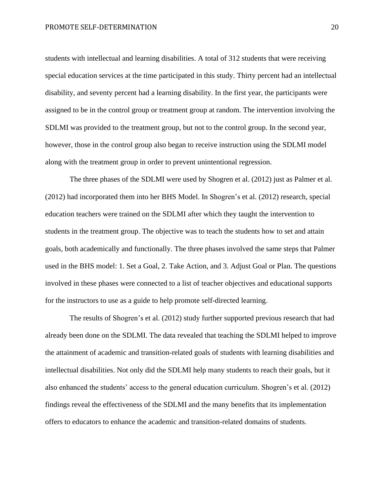students with intellectual and learning disabilities. A total of 312 students that were receiving special education services at the time participated in this study. Thirty percent had an intellectual disability, and seventy percent had a learning disability. In the first year, the participants were assigned to be in the control group or treatment group at random. The intervention involving the SDLMI was provided to the treatment group, but not to the control group. In the second year, however, those in the control group also began to receive instruction using the SDLMI model along with the treatment group in order to prevent unintentional regression.

The three phases of the SDLMI were used by Shogren et al. (2012) just as Palmer et al. (2012) had incorporated them into her BHS Model. In Shogren's et al. (2012) research, special education teachers were trained on the SDLMI after which they taught the intervention to students in the treatment group. The objective was to teach the students how to set and attain goals, both academically and functionally. The three phases involved the same steps that Palmer used in the BHS model: 1. Set a Goal, 2. Take Action, and 3. Adjust Goal or Plan. The questions involved in these phases were connected to a list of teacher objectives and educational supports for the instructors to use as a guide to help promote self-directed learning.

The results of Shogren's et al. (2012) study further supported previous research that had already been done on the SDLMI. The data revealed that teaching the SDLMI helped to improve the attainment of academic and transition-related goals of students with learning disabilities and intellectual disabilities. Not only did the SDLMI help many students to reach their goals, but it also enhanced the students' access to the general education curriculum. Shogren's et al. (2012) findings reveal the effectiveness of the SDLMI and the many benefits that its implementation offers to educators to enhance the academic and transition-related domains of students.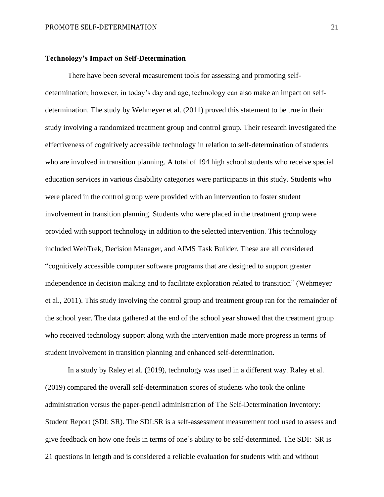#### **Technology's Impact on Self-Determination**

There have been several measurement tools for assessing and promoting selfdetermination; however, in today's day and age, technology can also make an impact on selfdetermination. The study by Wehmeyer et al. (2011) proved this statement to be true in their study involving a randomized treatment group and control group. Their research investigated the effectiveness of cognitively accessible technology in relation to self-determination of students who are involved in transition planning. A total of 194 high school students who receive special education services in various disability categories were participants in this study. Students who were placed in the control group were provided with an intervention to foster student involvement in transition planning. Students who were placed in the treatment group were provided with support technology in addition to the selected intervention. This technology included WebTrek, Decision Manager, and AIMS Task Builder. These are all considered "cognitively accessible computer software programs that are designed to support greater independence in decision making and to facilitate exploration related to transition" (Wehmeyer et al., 2011). This study involving the control group and treatment group ran for the remainder of the school year. The data gathered at the end of the school year showed that the treatment group who received technology support along with the intervention made more progress in terms of student involvement in transition planning and enhanced self-determination.

In a study by Raley et al. (2019), technology was used in a different way. Raley et al. (2019) compared the overall self-determination scores of students who took the online administration versus the paper-pencil administration of The Self-Determination Inventory: Student Report (SDI: SR). The SDI:SR is a self-assessment measurement tool used to assess and give feedback on how one feels in terms of one's ability to be self-determined. The SDI: SR is 21 questions in length and is considered a reliable evaluation for students with and without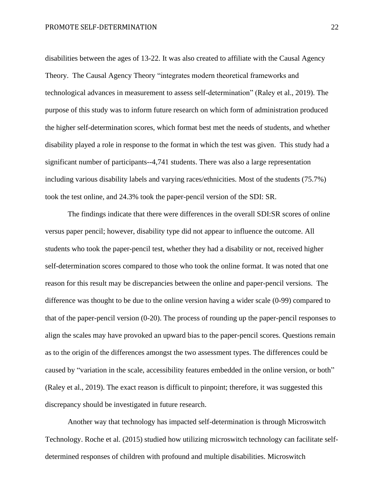disabilities between the ages of 13-22. It was also created to affiliate with the Causal Agency Theory. The Causal Agency Theory "integrates modern theoretical frameworks and technological advances in measurement to assess self-determination" (Raley et al., 2019). The purpose of this study was to inform future research on which form of administration produced the higher self-determination scores, which format best met the needs of students, and whether disability played a role in response to the format in which the test was given. This study had a significant number of participants--4,741 students. There was also a large representation including various disability labels and varying races/ethnicities. Most of the students (75.7%) took the test online, and 24.3% took the paper-pencil version of the SDI: SR.

The findings indicate that there were differences in the overall SDI:SR scores of online versus paper pencil; however, disability type did not appear to influence the outcome. All students who took the paper-pencil test, whether they had a disability or not, received higher self-determination scores compared to those who took the online format. It was noted that one reason for this result may be discrepancies between the online and paper-pencil versions. The difference was thought to be due to the online version having a wider scale (0-99) compared to that of the paper-pencil version (0-20). The process of rounding up the paper-pencil responses to align the scales may have provoked an upward bias to the paper-pencil scores. Questions remain as to the origin of the differences amongst the two assessment types. The differences could be caused by "variation in the scale, accessibility features embedded in the online version, or both" (Raley et al., 2019). The exact reason is difficult to pinpoint; therefore, it was suggested this discrepancy should be investigated in future research.

Another way that technology has impacted self-determination is through Microswitch Technology. Roche et al. (2015) studied how utilizing microswitch technology can facilitate selfdetermined responses of children with profound and multiple disabilities. Microswitch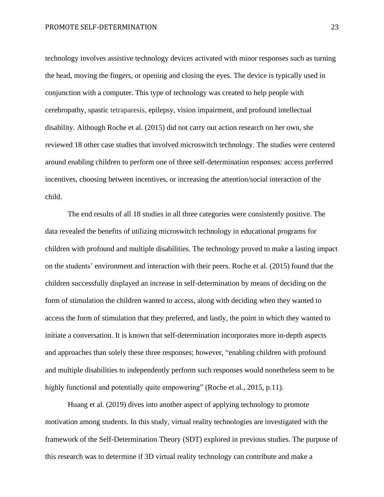technology involves assistive technology devices activated with minor responses such as turning the head, moving the fingers, or opening and closing the eyes. The device is typically used in conjunction with a computer. This type of technology was created to help people with cerebropathy, spastic tetraparesis, epilepsy, vision impairment, and profound intellectual disability. Although Roche et al. (2015) did not carry out action research on her own, she reviewed 18 other case studies that involved microswitch technology. The studies were centered around enabling children to perform one of three self-determination responses: access preferred incentives, choosing between incentives, or increasing the attention/social interaction of the child.

The end results of all 18 studies in all three categories were consistently positive. The data revealed the benefits of utilizing microswitch technology in educational programs for children with profound and multiple disabilities. The technology proved to make a lasting impact on the students' environment and interaction with their peers. Roche et al. (2015) found that the children successfully displayed an increase in self-determination by means of deciding on the form of stimulation the children wanted to access, along with deciding when they wanted to access the form of stimulation that they preferred, and lastly, the point in which they wanted to initiate a conversation. It is known that self-determination incorporates more in-depth aspects and approaches than solely these three responses; however, "enabling children with profound and multiple disabilities to independently perform such responses would nonetheless seem to be highly functional and potentially quite empowering" (Roche et al., 2015, p.11).

Huang et al. (2019) dives into another aspect of applying technology to promote motivation among students. In this study, virtual reality technologies are investigated with the framework of the Self-Determination Theory (SDT) explored in previous studies. The purpose of this research was to determine if 3D virtual reality technology can contribute and make a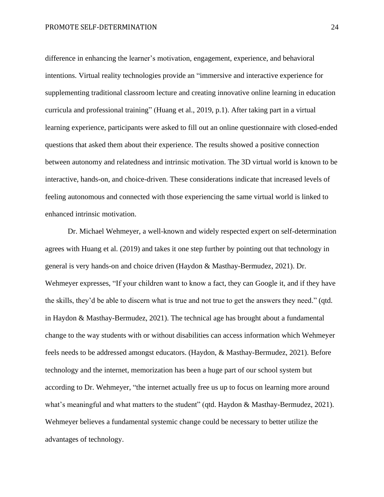difference in enhancing the learner's motivation, engagement, experience, and behavioral intentions. Virtual reality technologies provide an "immersive and interactive experience for supplementing traditional classroom lecture and creating innovative online learning in education curricula and professional training" (Huang et al., 2019, p.1). After taking part in a virtual learning experience, participants were asked to fill out an online questionnaire with closed-ended questions that asked them about their experience. The results showed a positive connection between autonomy and relatedness and intrinsic motivation. The 3D virtual world is known to be interactive, hands-on, and choice-driven. These considerations indicate that increased levels of feeling autonomous and connected with those experiencing the same virtual world is linked to enhanced intrinsic motivation.

Dr. Michael Wehmeyer, a well-known and widely respected expert on self-determination agrees with Huang et al. (2019) and takes it one step further by pointing out that technology in general is very hands-on and choice driven (Haydon & Masthay-Bermudez, 2021). Dr. Wehmeyer expresses, "If your children want to know a fact, they can Google it, and if they have the skills, they'd be able to discern what is true and not true to get the answers they need." (qtd. in Haydon & Masthay-Bermudez, 2021). The technical age has brought about a fundamental change to the way students with or without disabilities can access information which Wehmeyer feels needs to be addressed amongst educators. (Haydon, & Masthay-Bermudez, 2021). Before technology and the internet, memorization has been a huge part of our school system but according to Dr. Wehmeyer, "the internet actually free us up to focus on learning more around what's meaningful and what matters to the student" (qtd. Haydon & Masthay-Bermudez, 2021). Wehmeyer believes a fundamental systemic change could be necessary to better utilize the advantages of technology.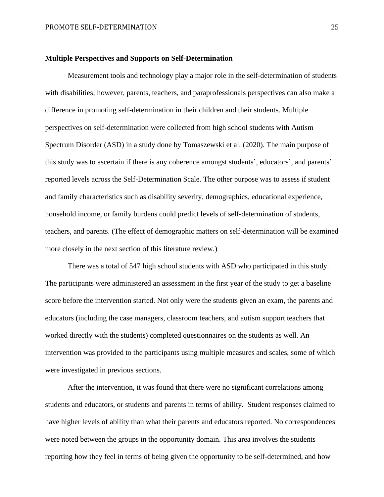#### **Multiple Perspectives and Supports on Self-Determination**

Measurement tools and technology play a major role in the self-determination of students with disabilities; however, parents, teachers, and paraprofessionals perspectives can also make a difference in promoting self-determination in their children and their students. Multiple perspectives on self-determination were collected from high school students with Autism Spectrum Disorder (ASD) in a study done by Tomaszewski et al. (2020). The main purpose of this study was to ascertain if there is any coherence amongst students', educators', and parents' reported levels across the Self-Determination Scale. The other purpose was to assess if student and family characteristics such as disability severity, demographics, educational experience, household income, or family burdens could predict levels of self-determination of students, teachers, and parents. (The effect of demographic matters on self-determination will be examined more closely in the next section of this literature review.)

There was a total of 547 high school students with ASD who participated in this study. The participants were administered an assessment in the first year of the study to get a baseline score before the intervention started. Not only were the students given an exam, the parents and educators (including the case managers, classroom teachers, and autism support teachers that worked directly with the students) completed questionnaires on the students as well. An intervention was provided to the participants using multiple measures and scales, some of which were investigated in previous sections.

After the intervention, it was found that there were no significant correlations among students and educators, or students and parents in terms of ability. Student responses claimed to have higher levels of ability than what their parents and educators reported. No correspondences were noted between the groups in the opportunity domain. This area involves the students reporting how they feel in terms of being given the opportunity to be self-determined, and how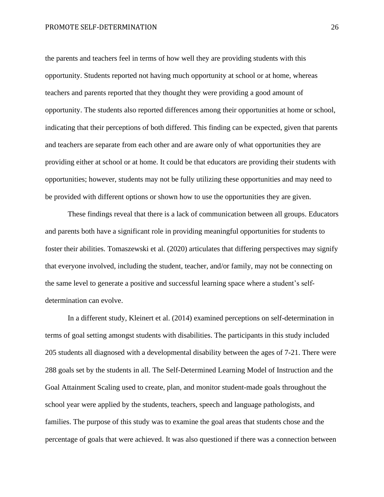#### PROMOTE SELF-DETERMINATION 26

the parents and teachers feel in terms of how well they are providing students with this opportunity. Students reported not having much opportunity at school or at home, whereas teachers and parents reported that they thought they were providing a good amount of opportunity. The students also reported differences among their opportunities at home or school, indicating that their perceptions of both differed. This finding can be expected, given that parents and teachers are separate from each other and are aware only of what opportunities they are providing either at school or at home. It could be that educators are providing their students with opportunities; however, students may not be fully utilizing these opportunities and may need to be provided with different options or shown how to use the opportunities they are given.

These findings reveal that there is a lack of communication between all groups. Educators and parents both have a significant role in providing meaningful opportunities for students to foster their abilities. Tomaszewski et al. (2020) articulates that differing perspectives may signify that everyone involved, including the student, teacher, and/or family, may not be connecting on the same level to generate a positive and successful learning space where a student's selfdetermination can evolve.

In a different study, Kleinert et al. (2014) examined perceptions on self-determination in terms of goal setting amongst students with disabilities. The participants in this study included 205 students all diagnosed with a developmental disability between the ages of 7-21. There were 288 goals set by the students in all. The Self-Determined Learning Model of Instruction and the Goal Attainment Scaling used to create, plan, and monitor student-made goals throughout the school year were applied by the students, teachers, speech and language pathologists, and families. The purpose of this study was to examine the goal areas that students chose and the percentage of goals that were achieved. It was also questioned if there was a connection between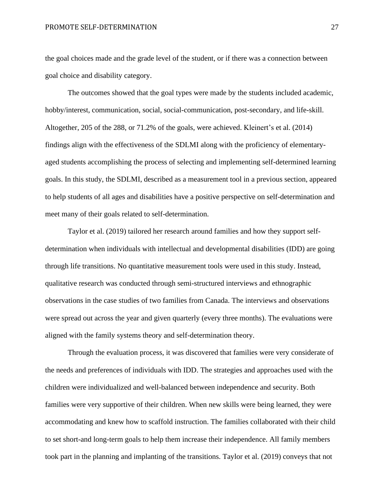#### PROMOTE SELF-DETERMINATION 27

the goal choices made and the grade level of the student, or if there was a connection between goal choice and disability category.

The outcomes showed that the goal types were made by the students included academic, hobby/interest, communication, social, social-communication, post-secondary, and life-skill. Altogether, 205 of the 288, or 71.2% of the goals, were achieved. Kleinert's et al. (2014) findings align with the effectiveness of the SDLMI along with the proficiency of elementaryaged students accomplishing the process of selecting and implementing self-determined learning goals. In this study, the SDLMI, described as a measurement tool in a previous section, appeared to help students of all ages and disabilities have a positive perspective on self-determination and meet many of their goals related to self-determination.

Taylor et al. (2019) tailored her research around families and how they support selfdetermination when individuals with intellectual and developmental disabilities (IDD) are going through life transitions. No quantitative measurement tools were used in this study. Instead, qualitative research was conducted through semi-structured interviews and ethnographic observations in the case studies of two families from Canada. The interviews and observations were spread out across the year and given quarterly (every three months). The evaluations were aligned with the family systems theory and self-determination theory.

Through the evaluation process, it was discovered that families were very considerate of the needs and preferences of individuals with IDD. The strategies and approaches used with the children were individualized and well-balanced between independence and security. Both families were very supportive of their children. When new skills were being learned, they were accommodating and knew how to scaffold instruction. The families collaborated with their child to set short-and long-term goals to help them increase their independence. All family members took part in the planning and implanting of the transitions. Taylor et al. (2019) conveys that not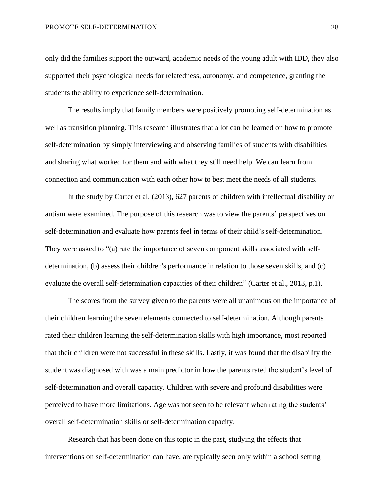only did the families support the outward, academic needs of the young adult with IDD, they also supported their psychological needs for relatedness, autonomy, and competence, granting the students the ability to experience self-determination.

The results imply that family members were positively promoting self-determination as well as transition planning. This research illustrates that a lot can be learned on how to promote self-determination by simply interviewing and observing families of students with disabilities and sharing what worked for them and with what they still need help. We can learn from connection and communication with each other how to best meet the needs of all students.

In the study by Carter et al. (2013), 627 parents of children with intellectual disability or autism were examined. The purpose of this research was to view the parents' perspectives on self-determination and evaluate how parents feel in terms of their child's self-determination. They were asked to "(a) rate the importance of seven component skills associated with selfdetermination, (b) assess their children's performance in relation to those seven skills, and (c) evaluate the overall self-determination capacities of their children" (Carter et al., 2013, p.1).

The scores from the survey given to the parents were all unanimous on the importance of their children learning the seven elements connected to self-determination. Although parents rated their children learning the self-determination skills with high importance, most reported that their children were not successful in these skills. Lastly, it was found that the disability the student was diagnosed with was a main predictor in how the parents rated the student's level of self-determination and overall capacity. Children with severe and profound disabilities were perceived to have more limitations. Age was not seen to be relevant when rating the students' overall self-determination skills or self-determination capacity.

Research that has been done on this topic in the past, studying the effects that interventions on self-determination can have, are typically seen only within a school setting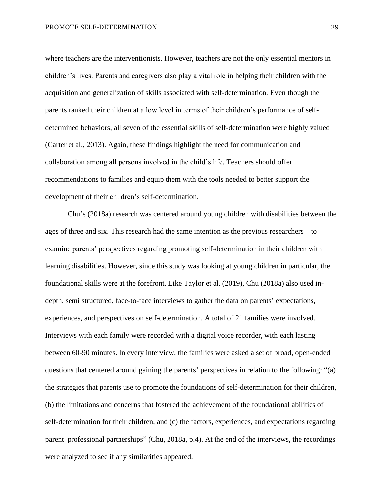where teachers are the interventionists. However, teachers are not the only essential mentors in children's lives. Parents and caregivers also play a vital role in helping their children with the acquisition and generalization of skills associated with self-determination. Even though the parents ranked their children at a low level in terms of their children's performance of selfdetermined behaviors, all seven of the essential skills of self-determination were highly valued (Carter et al., 2013). Again, these findings highlight the need for communication and collaboration among all persons involved in the child's life. Teachers should offer recommendations to families and equip them with the tools needed to better support the development of their children's self-determination.

Chu's (2018a) research was centered around young children with disabilities between the ages of three and six. This research had the same intention as the previous researchers—to examine parents' perspectives regarding promoting self-determination in their children with learning disabilities. However, since this study was looking at young children in particular, the foundational skills were at the forefront. Like Taylor et al. (2019), Chu (2018a) also used indepth, semi structured, face-to-face interviews to gather the data on parents' expectations, experiences, and perspectives on self-determination. A total of 21 families were involved. Interviews with each family were recorded with a digital voice recorder, with each lasting between 60-90 minutes. In every interview, the families were asked a set of broad, open-ended questions that centered around gaining the parents' perspectives in relation to the following: "(a) the strategies that parents use to promote the foundations of self-determination for their children, (b) the limitations and concerns that fostered the achievement of the foundational abilities of self-determination for their children, and (c) the factors, experiences, and expectations regarding parent–professional partnerships" (Chu, 2018a, p.4). At the end of the interviews, the recordings were analyzed to see if any similarities appeared.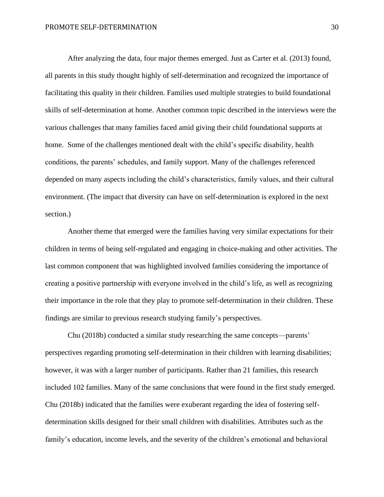After analyzing the data, four major themes emerged. Just as Carter et al. (2013) found, all parents in this study thought highly of self-determination and recognized the importance of facilitating this quality in their children. Families used multiple strategies to build foundational skills of self-determination at home. Another common topic described in the interviews were the various challenges that many families faced amid giving their child foundational supports at home. Some of the challenges mentioned dealt with the child's specific disability, health conditions, the parents' schedules, and family support. Many of the challenges referenced depended on many aspects including the child's characteristics, family values, and their cultural environment. (The impact that diversity can have on self-determination is explored in the next section.)

Another theme that emerged were the families having very similar expectations for their children in terms of being self-regulated and engaging in choice-making and other activities. The last common component that was highlighted involved families considering the importance of creating a positive partnership with everyone involved in the child's life, as well as recognizing their importance in the role that they play to promote self-determination in their children. These findings are similar to previous research studying family's perspectives.

Chu (2018b) conducted a similar study researching the same concepts—parents' perspectives regarding promoting self-determination in their children with learning disabilities; however, it was with a larger number of participants. Rather than 21 families, this research included 102 families. Many of the same conclusions that were found in the first study emerged. Chu (2018b) indicated that the families were exuberant regarding the idea of fostering selfdetermination skills designed for their small children with disabilities. Attributes such as the family's education, income levels, and the severity of the children's emotional and behavioral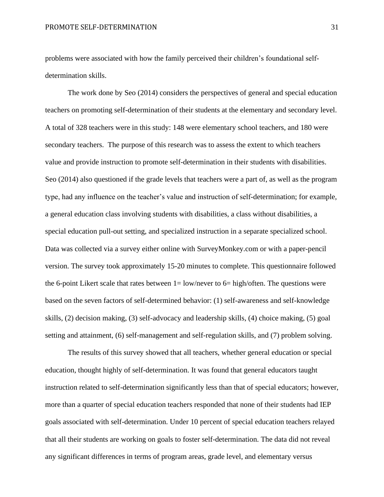problems were associated with how the family perceived their children's foundational selfdetermination skills.

The work done by Seo (2014) considers the perspectives of general and special education teachers on promoting self-determination of their students at the elementary and secondary level. A total of 328 teachers were in this study: 148 were elementary school teachers, and 180 were secondary teachers. The purpose of this research was to assess the extent to which teachers value and provide instruction to promote self-determination in their students with disabilities. Seo (2014) also questioned if the grade levels that teachers were a part of, as well as the program type, had any influence on the teacher's value and instruction of self-determination; for example, a general education class involving students with disabilities, a class without disabilities, a special education pull-out setting, and specialized instruction in a separate specialized school. Data was collected via a survey either online with SurveyMonkey.com or with a paper-pencil version. The survey took approximately 15-20 minutes to complete. This questionnaire followed the 6-point Likert scale that rates between  $1 = \frac{\text{low}}{\text{never}}$  to 6= high/often. The questions were based on the seven factors of self-determined behavior: (1) self-awareness and self-knowledge skills, (2) decision making, (3) self-advocacy and leadership skills, (4) choice making, (5) goal setting and attainment, (6) self-management and self-regulation skills, and (7) problem solving.

The results of this survey showed that all teachers, whether general education or special education, thought highly of self-determination. It was found that general educators taught instruction related to self-determination significantly less than that of special educators; however, more than a quarter of special education teachers responded that none of their students had IEP goals associated with self-determination. Under 10 percent of special education teachers relayed that all their students are working on goals to foster self-determination. The data did not reveal any significant differences in terms of program areas, grade level, and elementary versus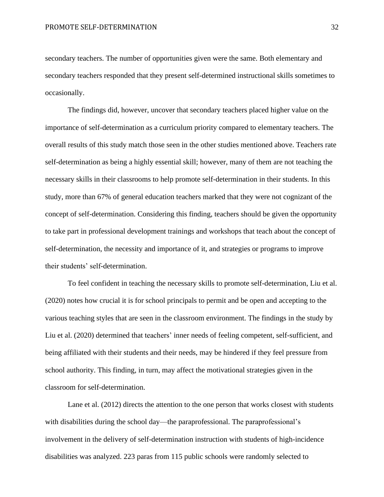secondary teachers. The number of opportunities given were the same. Both elementary and secondary teachers responded that they present self-determined instructional skills sometimes to occasionally.

The findings did, however, uncover that secondary teachers placed higher value on the importance of self-determination as a curriculum priority compared to elementary teachers. The overall results of this study match those seen in the other studies mentioned above. Teachers rate self-determination as being a highly essential skill; however, many of them are not teaching the necessary skills in their classrooms to help promote self-determination in their students. In this study, more than 67% of general education teachers marked that they were not cognizant of the concept of self-determination. Considering this finding, teachers should be given the opportunity to take part in professional development trainings and workshops that teach about the concept of self-determination, the necessity and importance of it, and strategies or programs to improve their students' self-determination.

To feel confident in teaching the necessary skills to promote self-determination, Liu et al. (2020) notes how crucial it is for school principals to permit and be open and accepting to the various teaching styles that are seen in the classroom environment. The findings in the study by Liu et al. (2020) determined that teachers' inner needs of feeling competent, self-sufficient, and being affiliated with their students and their needs, may be hindered if they feel pressure from school authority. This finding, in turn, may affect the motivational strategies given in the classroom for self-determination.

Lane et al. (2012) directs the attention to the one person that works closest with students with disabilities during the school day—the paraprofessional. The paraprofessional's involvement in the delivery of self-determination instruction with students of high-incidence disabilities was analyzed. 223 paras from 115 public schools were randomly selected to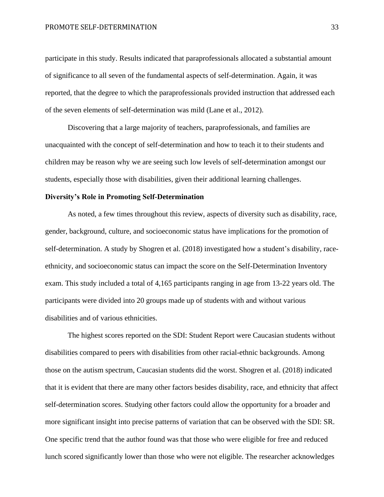participate in this study. Results indicated that paraprofessionals allocated a substantial amount of significance to all seven of the fundamental aspects of self-determination. Again, it was reported, that the degree to which the paraprofessionals provided instruction that addressed each of the seven elements of self-determination was mild (Lane et al., 2012).

Discovering that a large majority of teachers, paraprofessionals, and families are unacquainted with the concept of self-determination and how to teach it to their students and children may be reason why we are seeing such low levels of self-determination amongst our students, especially those with disabilities, given their additional learning challenges.

#### **Diversity's Role in Promoting Self-Determination**

As noted, a few times throughout this review, aspects of diversity such as disability, race, gender, background, culture, and socioeconomic status have implications for the promotion of self-determination. A study by Shogren et al. (2018) investigated how a student's disability, raceethnicity, and socioeconomic status can impact the score on the Self-Determination Inventory exam. This study included a total of 4,165 participants ranging in age from 13-22 years old. The participants were divided into 20 groups made up of students with and without various disabilities and of various ethnicities.

The highest scores reported on the SDI: Student Report were Caucasian students without disabilities compared to peers with disabilities from other racial-ethnic backgrounds. Among those on the autism spectrum, Caucasian students did the worst. Shogren et al. (2018) indicated that it is evident that there are many other factors besides disability, race, and ethnicity that affect self-determination scores. Studying other factors could allow the opportunity for a broader and more significant insight into precise patterns of variation that can be observed with the SDI: SR. One specific trend that the author found was that those who were eligible for free and reduced lunch scored significantly lower than those who were not eligible. The researcher acknowledges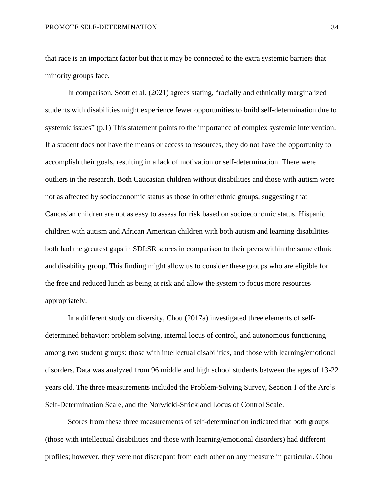that race is an important factor but that it may be connected to the extra systemic barriers that minority groups face.

In comparison, Scott et al. (2021) agrees stating, "racially and ethnically marginalized students with disabilities might experience fewer opportunities to build self-determination due to systemic issues" (p.1) This statement points to the importance of complex systemic intervention. If a student does not have the means or access to resources, they do not have the opportunity to accomplish their goals, resulting in a lack of motivation or self-determination. There were outliers in the research. Both Caucasian children without disabilities and those with autism were not as affected by socioeconomic status as those in other ethnic groups, suggesting that Caucasian children are not as easy to assess for risk based on socioeconomic status. Hispanic children with autism and African American children with both autism and learning disabilities both had the greatest gaps in SDI:SR scores in comparison to their peers within the same ethnic and disability group. This finding might allow us to consider these groups who are eligible for the free and reduced lunch as being at risk and allow the system to focus more resources appropriately.

In a different study on diversity, Chou (2017a) investigated three elements of selfdetermined behavior: problem solving, internal locus of control, and autonomous functioning among two student groups: those with intellectual disabilities, and those with learning/emotional disorders. Data was analyzed from 96 middle and high school students between the ages of 13-22 years old. The three measurements included the Problem-Solving Survey, Section 1 of the Arc's Self-Determination Scale, and the Norwicki-Strickland Locus of Control Scale.

Scores from these three measurements of self-determination indicated that both groups (those with intellectual disabilities and those with learning/emotional disorders) had different profiles; however, they were not discrepant from each other on any measure in particular. Chou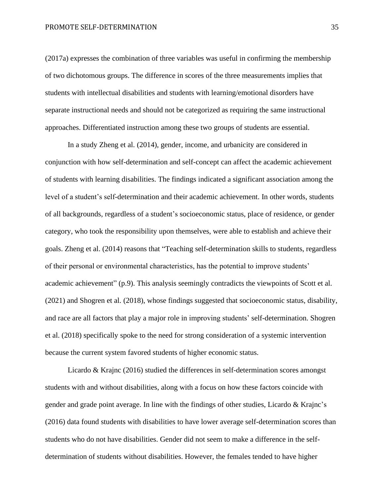(2017a) expresses the combination of three variables was useful in confirming the membership of two dichotomous groups. The difference in scores of the three measurements implies that students with intellectual disabilities and students with learning/emotional disorders have separate instructional needs and should not be categorized as requiring the same instructional approaches. Differentiated instruction among these two groups of students are essential.

In a study Zheng et al. (2014), gender, income, and urbanicity are considered in conjunction with how self-determination and self-concept can affect the academic achievement of students with learning disabilities. The findings indicated a significant association among the level of a student's self-determination and their academic achievement. In other words, students of all backgrounds, regardless of a student's socioeconomic status, place of residence, or gender category, who took the responsibility upon themselves, were able to establish and achieve their goals. Zheng et al. (2014) reasons that "Teaching self-determination skills to students, regardless of their personal or environmental characteristics, has the potential to improve students' academic achievement" (p.9). This analysis seemingly contradicts the viewpoints of Scott et al. (2021) and Shogren et al. (2018), whose findings suggested that socioeconomic status, disability, and race are all factors that play a major role in improving students' self-determination. Shogren et al. (2018) specifically spoke to the need for strong consideration of a systemic intervention because the current system favored students of higher economic status.

Licardo & Krajnc (2016) studied the differences in self-determination scores amongst students with and without disabilities, along with a focus on how these factors coincide with gender and grade point average. In line with the findings of other studies, Licardo & Krajnc's (2016) data found students with disabilities to have lower average self-determination scores than students who do not have disabilities. Gender did not seem to make a difference in the selfdetermination of students without disabilities. However, the females tended to have higher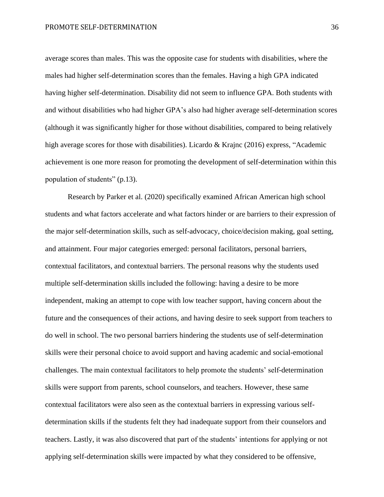average scores than males. This was the opposite case for students with disabilities, where the males had higher self-determination scores than the females. Having a high GPA indicated having higher self-determination. Disability did not seem to influence GPA. Both students with and without disabilities who had higher GPA's also had higher average self-determination scores (although it was significantly higher for those without disabilities, compared to being relatively high average scores for those with disabilities). Licardo & Krajnc (2016) express, "Academic achievement is one more reason for promoting the development of self-determination within this population of students" (p.13).

Research by Parker et al. (2020) specifically examined African American high school students and what factors accelerate and what factors hinder or are barriers to their expression of the major self-determination skills, such as self-advocacy, choice/decision making, goal setting, and attainment. Four major categories emerged: personal facilitators, personal barriers, contextual facilitators, and contextual barriers. The personal reasons why the students used multiple self-determination skills included the following: having a desire to be more independent, making an attempt to cope with low teacher support, having concern about the future and the consequences of their actions, and having desire to seek support from teachers to do well in school. The two personal barriers hindering the students use of self-determination skills were their personal choice to avoid support and having academic and social-emotional challenges. The main contextual facilitators to help promote the students' self-determination skills were support from parents, school counselors, and teachers. However, these same contextual facilitators were also seen as the contextual barriers in expressing various selfdetermination skills if the students felt they had inadequate support from their counselors and teachers. Lastly, it was also discovered that part of the students' intentions for applying or not applying self-determination skills were impacted by what they considered to be offensive,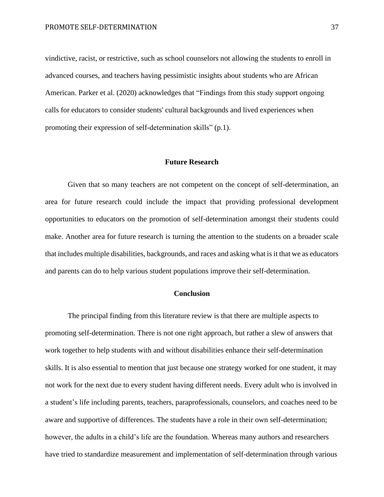vindictive, racist, or restrictive, such as school counselors not allowing the students to enroll in advanced courses, and teachers having pessimistic insights about students who are African American. Parker et al. (2020) acknowledges that "Findings from this study support ongoing calls for educators to consider students' cultural backgrounds and lived experiences when promoting their expression of self-determination skills" (p.1).

#### **Future Research**

Given that so many teachers are not competent on the concept of self-determination, an area for future research could include the impact that providing professional development opportunities to educators on the promotion of self-determination amongst their students could make. Another area for future research is turning the attention to the students on a broader scale that includes multiple disabilities, backgrounds, and races and asking what is it that we as educators and parents can do to help various student populations improve their self-determination.

#### **Conclusion**

The principal finding from this literature review is that there are multiple aspects to promoting self-determination. There is not one right approach, but rather a slew of answers that work together to help students with and without disabilities enhance their self-determination skills. It is also essential to mention that just because one strategy worked for one student, it may not work for the next due to every student having different needs. Every adult who is involved in a student's life including parents, teachers, paraprofessionals, counselors, and coaches need to be aware and supportive of differences. The students have a role in their own self-determination; however, the adults in a child's life are the foundation. Whereas many authors and researchers have tried to standardize measurement and implementation of self-determination through various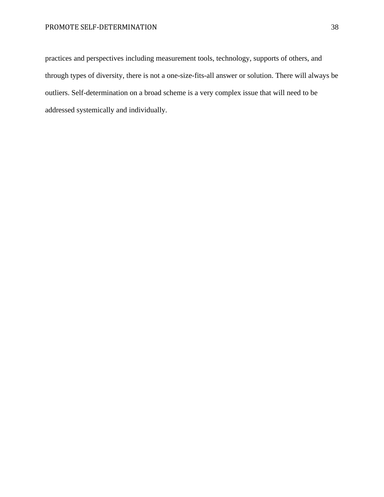## PROMOTE SELF-DETERMINATION 38

practices and perspectives including measurement tools, technology, supports of others, and through types of diversity, there is not a one-size-fits-all answer or solution. There will always be outliers. Self-determination on a broad scheme is a very complex issue that will need to be addressed systemically and individually.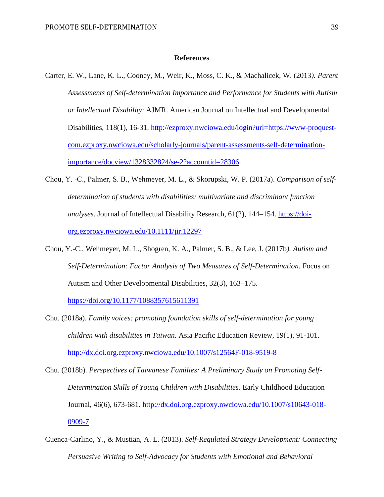#### **References**

- Carter, E. W., Lane, K. L., Cooney, M., Weir, K., Moss, C. K., & Machalicek, W. (2013*). Parent Assessments of Self-determination Importance and Performance for Students with Autism or Intellectual Disability*: AJMR. American Journal on Intellectual and Developmental Disabilities, 118(1), 16-31. [http://ezproxy.nwciowa.edu/login?url=https://www-proquest](http://ezproxy.nwciowa.edu/login?url=https://www-proquest-com.ezproxy.nwciowa.edu/scholarly-journals/parent-assessments-self-determination-importance/docview/1328332824/se-2?accountid=28306)[com.ezproxy.nwciowa.edu/scholarly-journals/parent-assessments-self-determination](http://ezproxy.nwciowa.edu/login?url=https://www-proquest-com.ezproxy.nwciowa.edu/scholarly-journals/parent-assessments-self-determination-importance/docview/1328332824/se-2?accountid=28306)[importance/docview/1328332824/se-2?accountid=28306](http://ezproxy.nwciowa.edu/login?url=https://www-proquest-com.ezproxy.nwciowa.edu/scholarly-journals/parent-assessments-self-determination-importance/docview/1328332824/se-2?accountid=28306)
- Chou, Y. ‐C., Palmer, S. B., Wehmeyer, M. L., & Skorupski, W. P. (2017a). *Comparison of selfdetermination of students with disabilities: multivariate and discriminant function analyses*. Journal of Intellectual Disability Research, 61(2), 144–154. [https://doi](https://doi-org.ezproxy.nwciowa.edu/10.1111/jir.12297)[org.ezproxy.nwciowa.edu/10.1111/jir.12297](https://doi-org.ezproxy.nwciowa.edu/10.1111/jir.12297)
- Chou, Y.-C., Wehmeyer, M. L., Shogren, K. A., Palmer, S. B., & Lee, J. (2017b*). Autism and Self-Determination: Factor Analysis of Two Measures of Self-Determination.* Focus on Autism and Other Developmental Disabilities, 32(3), 163–175.

<https://doi.org/10.1177/1088357615611391>

- Chu. (2018a). *Family voices: promoting foundation skills of self-determination for young children with disabilities in Taiwan.* Asia Pacific Education Review, 19(1), 91-101. <http://dx.doi.org.ezproxy.nwciowa.edu/10.1007/s12564F-018-9519-8>
- Chu. (2018b). *Perspectives of Taiwanese Families: A Preliminary Study on Promoting Self-Determination Skills of Young Children with Disabilities*. Early Childhood Education Journal, 46(6), 673-681. [http://dx.doi.org.ezproxy.nwciowa.edu/10.1007/s10643-018-](http://dx.doi.org.ezproxy.nwciowa.edu/10.1007/s10643-018-0909-7) [0909-7](http://dx.doi.org.ezproxy.nwciowa.edu/10.1007/s10643-018-0909-7)
- Cuenca-Carlino, Y., & Mustian, A. L. (2013). *Self-Regulated Strategy Development: Connecting Persuasive Writing to Self-Advocacy for Students with Emotional and Behavioral*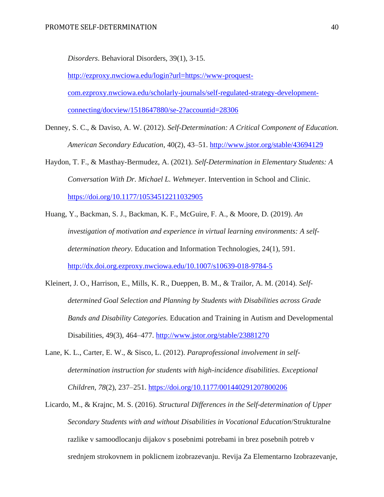*Disorders*. Behavioral Disorders, 39(1), 3-15.

[http://ezproxy.nwciowa.edu/login?url=https://www-proquest](http://ezproxy.nwciowa.edu/login?url=https://www-proquest-com.ezproxy.nwciowa.edu/scholarly-journals/self-regulated-strategy-development-connecting/docview/1518647880/se-2?accountid=28306)[com.ezproxy.nwciowa.edu/scholarly-journals/self-regulated-strategy-development](http://ezproxy.nwciowa.edu/login?url=https://www-proquest-com.ezproxy.nwciowa.edu/scholarly-journals/self-regulated-strategy-development-connecting/docview/1518647880/se-2?accountid=28306)[connecting/docview/1518647880/se-2?accountid=28306](http://ezproxy.nwciowa.edu/login?url=https://www-proquest-com.ezproxy.nwciowa.edu/scholarly-journals/self-regulated-strategy-development-connecting/docview/1518647880/se-2?accountid=28306)

- Denney, S. C., & Daviso, A. W. (2012). *Self-Determination: A Critical Component of Education. American Secondary Education*, 40(2), 43–51.<http://www.jstor.org/stable/43694129>
- Haydon, T. F., & Masthay-Bermudez, A. (2021). *Self-Determination in Elementary Students: A Conversation With Dr. Michael L. Wehmeyer*. Intervention in School and Clinic. <https://doi.org/10.1177/10534512211032905>
- Huang, Y., Backman, S. J., Backman, K. F., McGuire, F. A., & Moore, D. (2019). *An investigation of motivation and experience in virtual learning environments: A selfdetermination theory.* Education and Information Technologies, 24(1), 591. <http://dx.doi.org.ezproxy.nwciowa.edu/10.1007/s10639-018-9784-5>
- Kleinert, J. O., Harrison, E., Mills, K. R., Dueppen, B. M., & Trailor, A. M. (2014). *Selfdetermined Goal Selection and Planning by Students with Disabilities across Grade Bands and Disability Categories.* Education and Training in Autism and Developmental Disabilities, 49(3), 464–477.<http://www.jstor.org/stable/23881270>
- Lane, K. L., Carter, E. W., & Sisco, L. (2012). *Paraprofessional involvement in selfdetermination instruction for students with high-incidence disabilities*. *Exceptional Children*, *78*(2), 237–251.<https://doi.org/10.1177/001440291207800206>
- Licardo, M., & Krajnc, M. S. (2016). *Structural Differences in the Self-determination of Upper Secondary Students with and without Disabilities in Vocational Education*/Strukturalne razlike v samoodlocanju dijakov s posebnimi potrebami in brez posebnih potreb v srednjem strokovnem in poklicnem izobrazevanju. Revija Za Elementarno Izobrazevanje,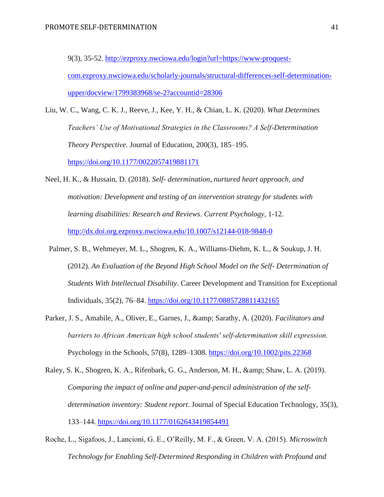9(3), 35-52. [http://ezproxy.nwciowa.edu/login?url=https://www-proquest](http://ezproxy.nwciowa.edu/login?url=https://www-proquest-com.ezproxy.nwciowa.edu/scholarly-journals/structural-differences-self-determination-upper/docview/1799383968/se-2?accountid=28306)[com.ezproxy.nwciowa.edu/scholarly-journals/structural-differences-self-determination](http://ezproxy.nwciowa.edu/login?url=https://www-proquest-com.ezproxy.nwciowa.edu/scholarly-journals/structural-differences-self-determination-upper/docview/1799383968/se-2?accountid=28306)[upper/docview/1799383968/se-2?accountid=28306](http://ezproxy.nwciowa.edu/login?url=https://www-proquest-com.ezproxy.nwciowa.edu/scholarly-journals/structural-differences-self-determination-upper/docview/1799383968/se-2?accountid=28306)

- Liu, W. C., Wang, C. K. J., Reeve, J., Kee, Y. H., & Chian, L. K. (2020). *What Determines Teachers' Use of Motivational Strategies in the Classrooms? A Self-Determination Theory Perspective.* Journal of Education, 200(3), 185–195. <https://doi.org/10.1177/0022057419881171>
- Neel, H. K., & Hussain, D. (2018). *Self- determination, nurtured heart approach, and motivation: Development and testing of an intervention strategy for students with learning disabilities: Research and Reviews*. *Current Psychology,* 1-12. <http://dx.doi.org.ezproxy.nwciowa.edu/10.1007/s12144-018-9848-0>
- Palmer, S. B., Wehmeyer, M. L., Shogren, K. A., Williams-Diehm, K. L., & Soukup, J. H. (2012). *An Evaluation of the Beyond High School Model on the Self- Determination of Students With Intellectual Disability*. Career Development and Transition for Exceptional Individuals, 35(2), 76–84.<https://doi.org/10.1177/0885728811432165>
- Parker, J. S., Amabile, A., Oliver, E., Garnes, J., & amp; Sarathy, A. (2020). *Facilitators and barriers to African American high school students' self‐determination skill expression.* Psychology in the Schools, 57(8), 1289–1308.<https://doi.org/10.1002/pits.22368>
- Raley, S. K., Shogren, K. A., Rifenbark, G. G., Anderson, M. H., & amp: Shaw, L. A. (2019). *Comparing the impact of online and paper-and-pencil administration of the selfdetermination inventory: Student report*. Journal of Special Education Technology, 35(3), 133–144.<https://doi.org/10.1177/0162643419854491>
- Roche, L., Sigafoos, J., Lancioni, G. E., O'Reilly, M. F., & Green, V. A. (2015). *Microswitch Technology for Enabling Self-Determined Responding in Children with Profound and*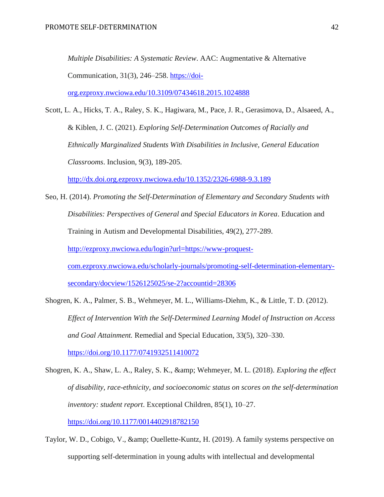*Multiple Disabilities: A Systematic Review*. AAC: Augmentative & Alternative Communication, 31(3), 246–258. [https://doi](https://doi-org.ezproxy.nwciowa.edu/10.3109/07434618.2015.1024888)[org.ezproxy.nwciowa.edu/10.3109/07434618.2015.1024888](https://doi-org.ezproxy.nwciowa.edu/10.3109/07434618.2015.1024888)

Scott, L. A., Hicks, T. A., Raley, S. K., Hagiwara, M., Pace, J. R., Gerasimova, D., Alsaeed, A., & Kiblen, J. C. (2021). *Exploring Self-Determination Outcomes of Racially and Ethnically Marginalized Students With Disabilities in Inclusive, General Education Classrooms*. Inclusion, 9(3), 189-205.

<http://dx.doi.org.ezproxy.nwciowa.edu/10.1352/2326-6988-9.3.189>

- Seo, H. (2014). *Promoting the Self-Determination of Elementary and Secondary Students with Disabilities: Perspectives of General and Special Educators in Korea*. Education and Training in Autism and Developmental Disabilities, 49(2), 277-289. [http://ezproxy.nwciowa.edu/login?url=https://www-proquest](http://ezproxy.nwciowa.edu/login?url=https://www-proquest-com.ezproxy.nwciowa.edu/scholarly-journals/promoting-self-determination-elementary-secondary/docview/1526125025/se-2?accountid=28306)[com.ezproxy.nwciowa.edu/scholarly-journals/promoting-self-determination-elementary](http://ezproxy.nwciowa.edu/login?url=https://www-proquest-com.ezproxy.nwciowa.edu/scholarly-journals/promoting-self-determination-elementary-secondary/docview/1526125025/se-2?accountid=28306)[secondary/docview/1526125025/se-2?accountid=28306](http://ezproxy.nwciowa.edu/login?url=https://www-proquest-com.ezproxy.nwciowa.edu/scholarly-journals/promoting-self-determination-elementary-secondary/docview/1526125025/se-2?accountid=28306)
- Shogren, K. A., Palmer, S. B., Wehmeyer, M. L., Williams-Diehm, K., & Little, T. D. (2012). *Effect of Intervention With the Self-Determined Learning Model of Instruction on Access and Goal Attainment.* Remedial and Special Education, 33(5), 320–330. <https://doi.org/10.1177/0741932511410072>
- Shogren, K. A., Shaw, L. A., Raley, S. K., & Wehmeyer, M. L. (2018). *Exploring the effect of disability, race-ethnicity, and socioeconomic status on scores on the self-determination inventory: student report*. Exceptional Children, 85(1), 10–27. <https://doi.org/10.1177/0014402918782150>
- Taylor, W. D., Cobigo, V., & amp; Ouellette-Kuntz, H. (2019). A family systems perspective on supporting self-determination in young adults with intellectual and developmental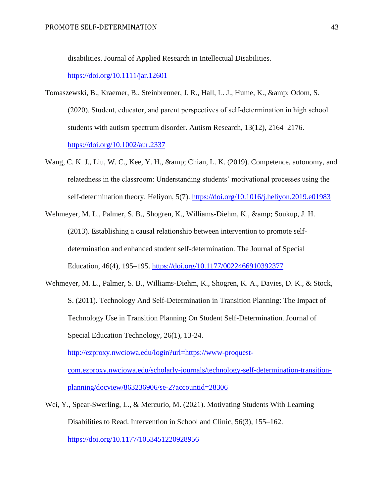disabilities. Journal of Applied Research in Intellectual Disabilities.

#### <https://doi.org/10.1111/jar.12601>

- Tomaszewski, B., Kraemer, B., Steinbrenner, J. R., Hall, L. J., Hume, K., & amp; Odom, S. (2020). Student, educator, and parent perspectives of self‐determination in high school students with autism spectrum disorder. Autism Research, 13(12), 2164–2176. <https://doi.org/10.1002/aur.2337>
- Wang, C. K. J., Liu, W. C., Kee, Y. H., & amp; Chian, L. K. (2019). Competence, autonomy, and relatedness in the classroom: Understanding students' motivational processes using the self-determination theory. Heliyon, 5(7).<https://doi.org/10.1016/j.heliyon.2019.e01983>
- Wehmeyer, M. L., Palmer, S. B., Shogren, K., Williams-Diehm, K., & amp; Soukup, J. H. (2013). Establishing a causal relationship between intervention to promote selfdetermination and enhanced student self-determination. The Journal of Special Education, 46(4), 195–195.<https://doi.org/10.1177/0022466910392377>
- Wehmeyer, M. L., Palmer, S. B., Williams-Diehm, K., Shogren, K. A., Davies, D. K., & Stock, S. (2011). Technology And Self-Determination in Transition Planning: The Impact of Technology Use in Transition Planning On Student Self-Determination. Journal of Special Education Technology, 26(1), 13-24. [http://ezproxy.nwciowa.edu/login?url=https://www-proquest-](http://ezproxy.nwciowa.edu/login?url=https://www-proquest-com.ezproxy.nwciowa.edu/scholarly-journals/technology-self-determination-transition-planning/docview/863236906/se-2?accountid=28306)

[com.ezproxy.nwciowa.edu/scholarly-journals/technology-self-determination-transition](http://ezproxy.nwciowa.edu/login?url=https://www-proquest-com.ezproxy.nwciowa.edu/scholarly-journals/technology-self-determination-transition-planning/docview/863236906/se-2?accountid=28306)[planning/docview/863236906/se-2?accountid=28306](http://ezproxy.nwciowa.edu/login?url=https://www-proquest-com.ezproxy.nwciowa.edu/scholarly-journals/technology-self-determination-transition-planning/docview/863236906/se-2?accountid=28306)

Wei, Y., Spear-Swerling, L., & Mercurio, M. (2021). Motivating Students With Learning Disabilities to Read. Intervention in School and Clinic, 56(3), 155–162. <https://doi.org/10.1177/1053451220928956>